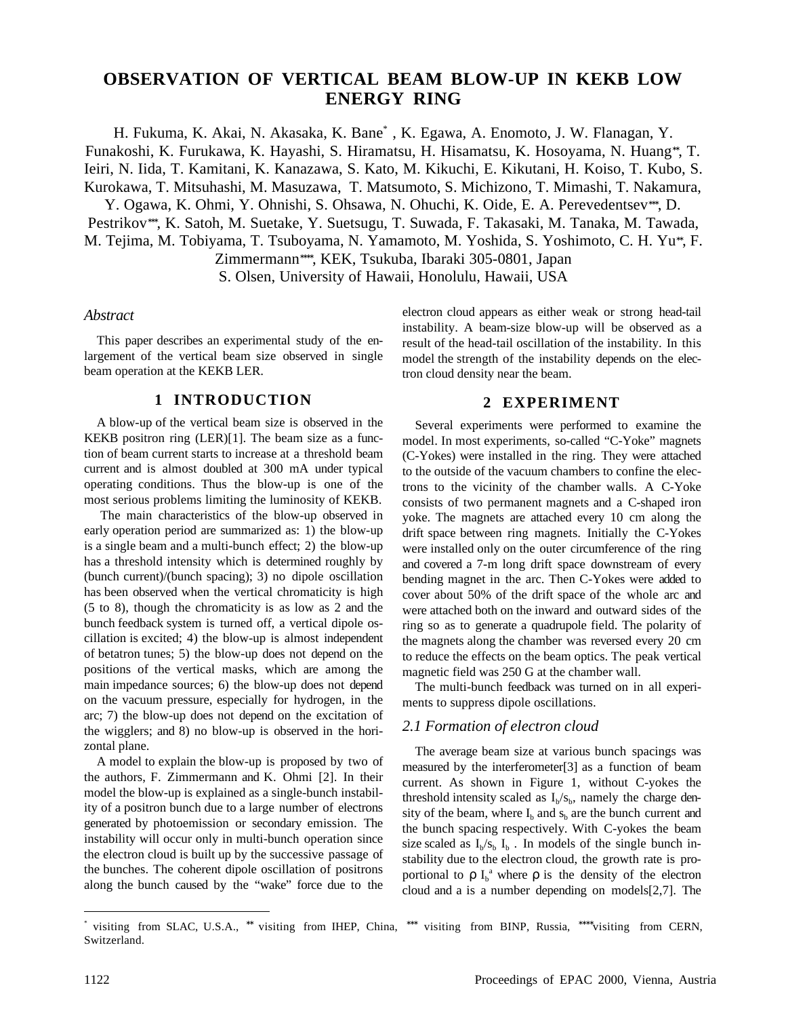# **OBSERVATION OF VERTICAL BEAM BLOW-UP IN KEKB LOW ENERGY RING**

H. Fukuma, K. Akai, N. Akasaka, K. Bane\* , K. Egawa, A. Enomoto, J. W. Flanagan, Y. Funakoshi, K. Furukawa, K. Hayashi, S. Hiramatsu, H. Hisamatsu, K. Hosoyama, N. Huang∗∗, T. Ieiri, N. Iida, T. Kamitani, K. Kanazawa, S. Kato, M. Kikuchi, E. Kikutani, H. Koiso, T. Kubo, S. Kurokawa, T. Mitsuhashi, M. Masuzawa, T. Matsumoto, S. Michizono, T. Mimashi, T. Nakamura, Y. Ogawa, K. Ohmi, Y. Ohnishi, S. Ohsawa, N. Ohuchi, K. Oide, E. A. Perevedentsev∗∗∗, D. Pestrikov∗∗∗, K. Satoh, M. Suetake, Y. Suetsugu, T. Suwada, F. Takasaki, M. Tanaka, M. Tawada, M. Tejima, M. Tobiyama, T. Tsuboyama, N. Yamamoto, M. Yoshida, S. Yoshimoto, C. H. Yu∗∗, F. Zimmermann∗∗∗∗, KEK, Tsukuba, Ibaraki 305-0801, Japan

S. Olsen, University of Hawaii, Honolulu, Hawaii, USA

#### *Abstract*

This paper describes an experimental study of the enlargement of the vertical beam size observed in single beam operation at the KEKB LER.

#### **1 INTRODUCTION**

A blow-up of the vertical beam size is observed in the KEKB positron ring (LER)[1]. The beam size as a function of beam current starts to increase at a threshold beam current and is almost doubled at 300 mA under typical operating conditions. Thus the blow-up is one of the most serious problems limiting the luminosity of KEKB.

 The main characteristics of the blow-up observed in early operation period are summarized as: 1) the blow-up is a single beam and a multi-bunch effect; 2) the blow-up has a threshold intensity which is determined roughly by (bunch current)/(bunch spacing); 3) no dipole oscillation has been observed when the vertical chromaticity is high (5 to 8), though the chromaticity is as low as 2 and the bunch feedback system is turned off, a vertical dipole oscillation is excited; 4) the blow-up is almost independent of betatron tunes; 5) the blow-up does not depend on the positions of the vertical masks, which are among the main impedance sources; 6) the blow-up does not depend on the vacuum pressure, especially for hydrogen, in the arc; 7) the blow-up does not depend on the excitation of the wigglers; and 8) no blow-up is observed in the horizontal plane.

A model to explain the blow-up is proposed by two of the authors, F. Zimmermann and K. Ohmi [2]. In their model the blow-up is explained as a single-bunch instability of a positron bunch due to a large number of electrons generated by photoemission or secondary emission. The instability will occur only in multi-bunch operation since the electron cloud is built up by the successive passage of the bunches. The coherent dipole oscillation of positrons along the bunch caused by the "wake" force due to the

electron cloud appears as either weak or strong head-tail instability. A beam-size blow-up will be observed as a result of the head-tail oscillation of the instability. In this model the strength of the instability depends on the electron cloud density near the beam.

## **2 EXPERIMENT**

Several experiments were performed to examine the model. In most experiments, so-called "C-Yoke" magnets (C-Yokes) were installed in the ring. They were attached to the outside of the vacuum chambers to confine the electrons to the vicinity of the chamber walls. A C-Yoke consists of two permanent magnets and a C-shaped iron yoke. The magnets are attached every 10 cm along the drift space between ring magnets. Initially the C-Yokes were installed only on the outer circumference of the ring and covered a 7-m long drift space downstream of every bending magnet in the arc. Then C-Yokes were added to cover about 50% of the drift space of the whole arc and were attached both on the inward and outward sides of the ring so as to generate a quadrupole field. The polarity of the magnets along the chamber was reversed every 20 cm to reduce the effects on the beam optics. The peak vertical magnetic field was 250 G at the chamber wall.

The multi-bunch feedback was turned on in all experiments to suppress dipole oscillations.

#### *2.1 Formation of electron cloud*

The average beam size at various bunch spacings was measured by the interferometer[3] as a function of beam current. As shown in Figure 1, without C-yokes the threshold intensity scaled as  $I<sub>b</sub>/s<sub>b</sub>$ , namely the charge density of the beam, where  $I_b$  and  $s_b$  are the bunch current and the bunch spacing respectively. With C-yokes the beam size scaled as  $I_p/s_b I_b$ . In models of the single bunch instability due to the electron cloud, the growth rate is proportional to  $\rho I_b^a$  where  $\rho$  is the density of the electron cloud and a is a number depending on models[2,7]. The

 $\overline{a}$ 

<sup>\*</sup> visiting from SLAC, U.S.A., \*\* visiting from IHEP, China, \*\*\* visiting from BINP, Russia, \*\*\*\*visiting from CERN, Switzerland.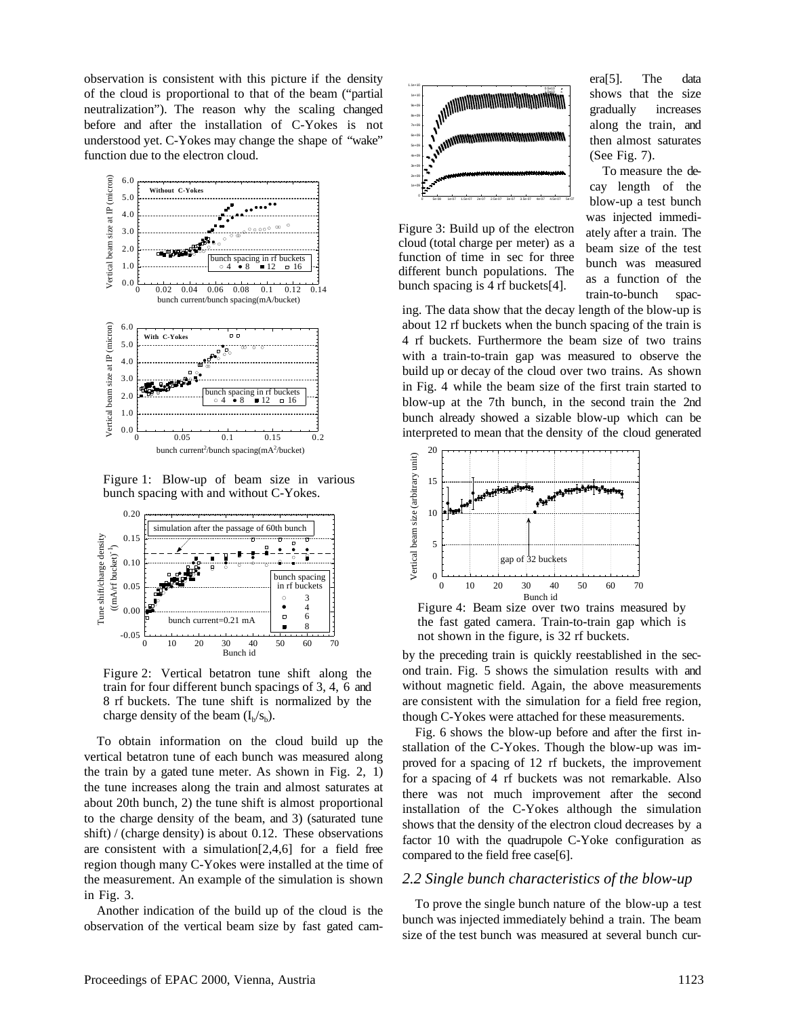observation is consistent with this picture if the density of the cloud is proportional to that of the beam ("partial neutralization"). The reason why the scaling changed before and after the installation of C-Yokes is not understood yet. C-Yokes may change the shape of "wake" function due to the electron cloud.



Figure 1: Blow-up of beam size in various bunch spacing with and without C-Yokes.



Figure 2: Vertical betatron tune shift along the train for four different bunch spacings of 3, 4, 6 and 8 rf buckets. The tune shift is normalized by the charge density of the beam  $(I<sub>b</sub>/s<sub>b</sub>)$ .

To obtain information on the cloud build up the vertical betatron tune of each bunch was measured along the train by a gated tune meter. As shown in Fig. 2, 1) the tune increases along the train and almost saturates at about 20th bunch, 2) the tune shift is almost proportional to the charge density of the beam, and 3) (saturated tune shift) / (charge density) is about 0.12. These observations are consistent with a simulation[2,4,6] for a field free region though many C-Yokes were installed at the time of the measurement. An example of the simulation is shown in Fig. 3.

Another indication of the build up of the cloud is the observation of the vertical beam size by fast gated cam-



Figure 3: Build up of the electron cloud (total charge per meter) as a function of time in sec for three different bunch populations. The bunch spacing is 4 rf buckets[4].

era[5]. The data shows that the size gradually increases along the train, and then almost saturates (See Fig. 7).

To measure the decay length of the blow-up a test bunch was injected immediately after a train. The beam size of the test bunch was measured as a function of the train-to-bunch spac-

ing. The data show that the decay length of the blow-up is about 12 rf buckets when the bunch spacing of the train is 4 rf buckets. Furthermore the beam size of two trains with a train-to-train gap was measured to observe the build up or decay of the cloud over two trains. As shown in Fig. 4 while the beam size of the first train started to blow-up at the 7th bunch, in the second train the 2nd bunch already showed a sizable blow-up which can be interpreted to mean that the density of the cloud generated



Figure 4: Beam size over two trains measured by the fast gated camera. Train-to-train gap which is not shown in the figure, is 32 rf buckets.

by the preceding train is quickly reestablished in the second train. Fig. 5 shows the simulation results with and without magnetic field. Again, the above measurements are consistent with the simulation for a field free region, though C-Yokes were attached for these measurements.

Fig. 6 shows the blow-up before and after the first installation of the C-Yokes. Though the blow-up was improved for a spacing of 12 rf buckets, the improvement for a spacing of 4 rf buckets was not remarkable. Also there was not much improvement after the second installation of the C-Yokes although the simulation shows that the density of the electron cloud decreases by a factor 10 with the quadrupole C-Yoke configuration as compared to the field free case[6].

#### *2.2 Single bunch characteristics of the blow-up*

To prove the single bunch nature of the blow-up a test bunch was injected immediately behind a train. The beam size of the test bunch was measured at several bunch cur-